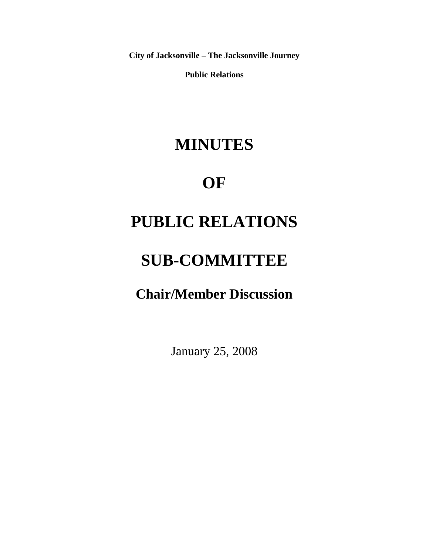**City of Jacksonville – The Jacksonville Journey** 

**Public Relations** 

## **MINUTES**

### **OF**

# **PUBLIC RELATIONS**

# **SUB-COMMITTEE**

**Chair/Member Discussion** 

January 25, 2008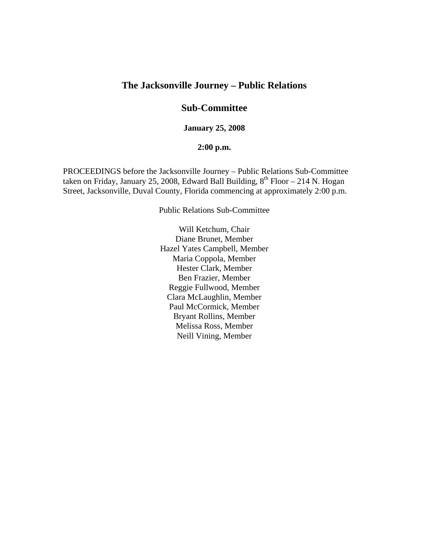#### **The Jacksonville Journey – Public Relations**

#### **Sub-Committee**

**January 25, 2008** 

#### **2:00 p.m.**

PROCEEDINGS before the Jacksonville Journey – Public Relations Sub-Committee taken on Friday, January 25, 2008, Edward Ball Building,  $8^{th}$  Floor – 214 N. Hogan Street, Jacksonville, Duval County, Florida commencing at approximately 2:00 p.m.

Public Relations Sub-Committee

Will Ketchum, Chair Diane Brunet, Member Hazel Yates Campbell, Member Maria Coppola, Member Hester Clark, Member Ben Frazier, Member Reggie Fullwood, Member Clara McLaughlin, Member Paul McCormick, Member Bryant Rollins, Member Melissa Ross, Member Neill Vining, Member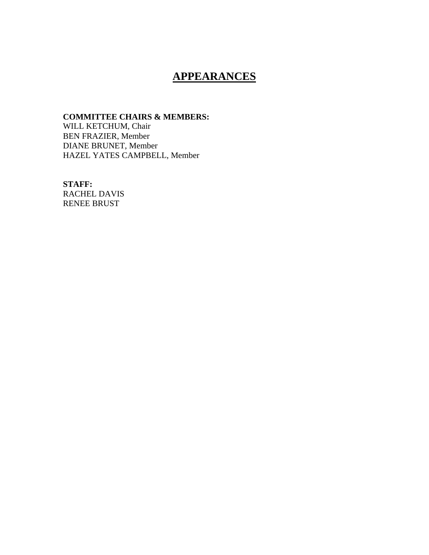### **APPEARANCES**

#### **COMMITTEE CHAIRS & MEMBERS:**

WILL KETCHUM, Chair BEN FRAZIER, Member DIANE BRUNET, Member HAZEL YATES CAMPBELL, Member

**STAFF:**  RACHEL DAVIS

RENEE BRUST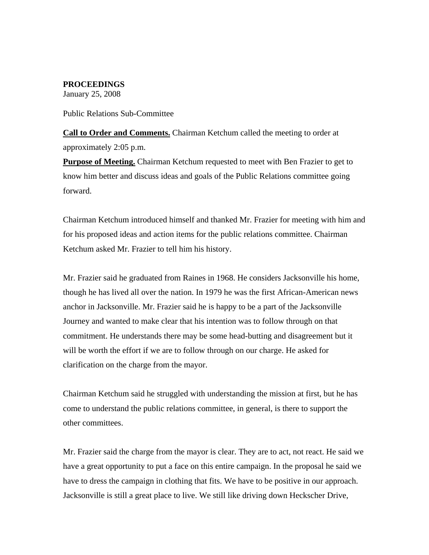#### **PROCEEDINGS**

January 25, 2008

#### Public Relations Sub-Committee

**Call to Order and Comments.** Chairman Ketchum called the meeting to order at approximately 2:05 p.m.

**Purpose of Meeting.** Chairman Ketchum requested to meet with Ben Frazier to get to know him better and discuss ideas and goals of the Public Relations committee going forward.

Chairman Ketchum introduced himself and thanked Mr. Frazier for meeting with him and for his proposed ideas and action items for the public relations committee. Chairman Ketchum asked Mr. Frazier to tell him his history.

Mr. Frazier said he graduated from Raines in 1968. He considers Jacksonville his home, though he has lived all over the nation. In 1979 he was the first African-American news anchor in Jacksonville. Mr. Frazier said he is happy to be a part of the Jacksonville Journey and wanted to make clear that his intention was to follow through on that commitment. He understands there may be some head-butting and disagreement but it will be worth the effort if we are to follow through on our charge. He asked for clarification on the charge from the mayor.

Chairman Ketchum said he struggled with understanding the mission at first, but he has come to understand the public relations committee, in general, is there to support the other committees.

Mr. Frazier said the charge from the mayor is clear. They are to act, not react. He said we have a great opportunity to put a face on this entire campaign. In the proposal he said we have to dress the campaign in clothing that fits. We have to be positive in our approach. Jacksonville is still a great place to live. We still like driving down Heckscher Drive,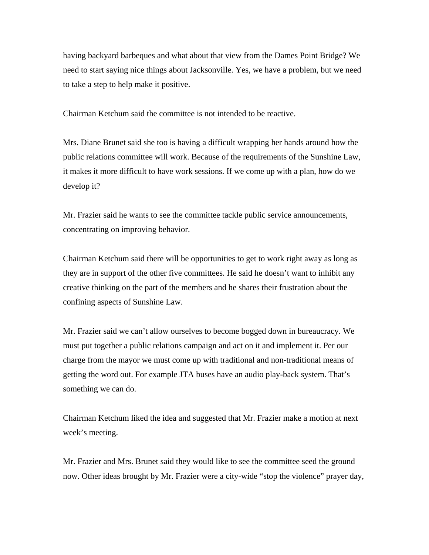having backyard barbeques and what about that view from the Dames Point Bridge? We need to start saying nice things about Jacksonville. Yes, we have a problem, but we need to take a step to help make it positive.

Chairman Ketchum said the committee is not intended to be reactive.

Mrs. Diane Brunet said she too is having a difficult wrapping her hands around how the public relations committee will work. Because of the requirements of the Sunshine Law, it makes it more difficult to have work sessions. If we come up with a plan, how do we develop it?

Mr. Frazier said he wants to see the committee tackle public service announcements, concentrating on improving behavior.

Chairman Ketchum said there will be opportunities to get to work right away as long as they are in support of the other five committees. He said he doesn't want to inhibit any creative thinking on the part of the members and he shares their frustration about the confining aspects of Sunshine Law.

Mr. Frazier said we can't allow ourselves to become bogged down in bureaucracy. We must put together a public relations campaign and act on it and implement it. Per our charge from the mayor we must come up with traditional and non-traditional means of getting the word out. For example JTA buses have an audio play-back system. That's something we can do.

Chairman Ketchum liked the idea and suggested that Mr. Frazier make a motion at next week's meeting.

Mr. Frazier and Mrs. Brunet said they would like to see the committee seed the ground now. Other ideas brought by Mr. Frazier were a city-wide "stop the violence" prayer day,